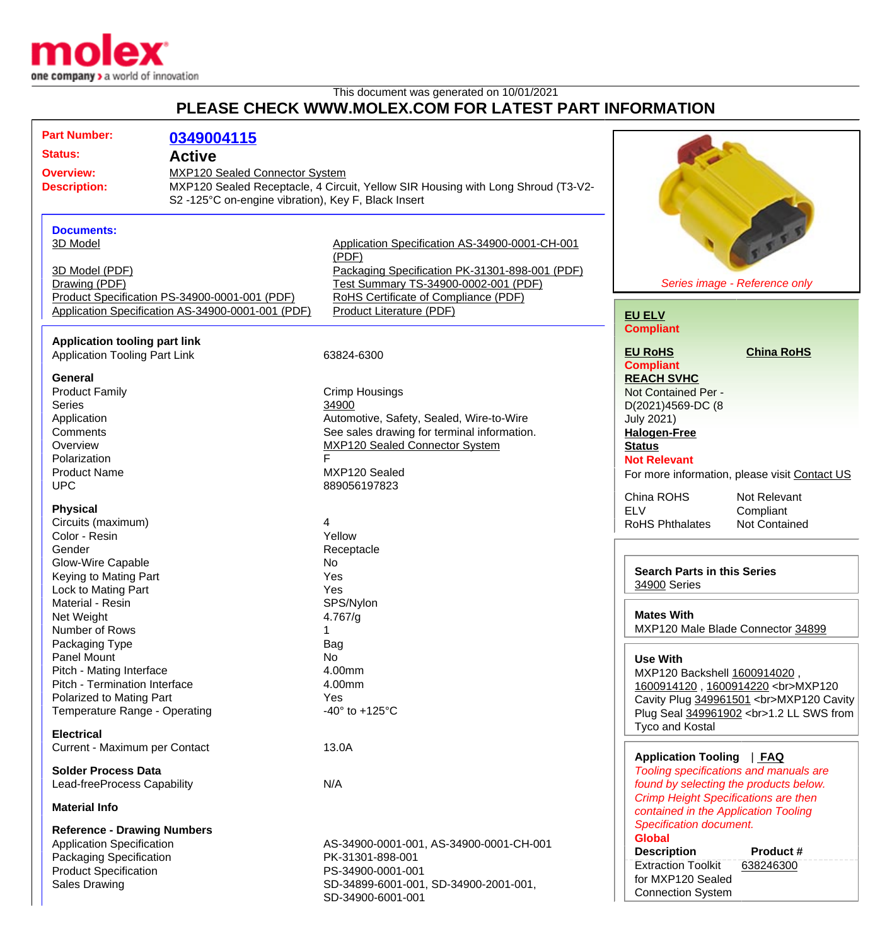

## This document was generated on 10/01/2021 **PLEASE CHECK WWW.MOLEX.COM FOR LATEST PART INFORMATION**

| <b>Status:</b><br><b>Active</b><br>MXP120 Sealed Connector System<br><b>Overview:</b><br>MXP120 Sealed Receptacle, 4 Circuit, Yellow SIR Housing with Long Shroud (T3-V2-<br><b>Description:</b><br>S2-125°C on-engine vibration), Key F, Black Insert<br>FEE<br><b>Documents:</b><br>3D Model<br>Application Specification AS-34900-0001-CH-001<br>(PDF)<br>Packaging Specification PK-31301-898-001 (PDF)<br>3D Model (PDF)<br>Series image - Reference only<br>Drawing (PDF)<br>Test Summary TS-34900-0002-001 (PDF)<br>RoHS Certificate of Compliance (PDF)<br>Product Specification PS-34900-0001-001 (PDF)<br>Product Literature (PDF)<br>Application Specification AS-34900-0001-001 (PDF)<br><b>EU ELV</b><br><b>Compliant</b><br><b>Application tooling part link</b><br><b>EU RoHS</b><br><b>China RoHS</b><br><b>Application Tooling Part Link</b><br>63824-6300<br><b>Compliant</b><br>General<br><b>REACH SVHC</b><br><b>Crimp Housings</b><br><b>Product Family</b><br>Not Contained Per -<br>34900<br><b>Series</b><br>D(2021)4569-DC (8<br>Application<br>Automotive, Safety, Sealed, Wire-to-Wire<br><b>July 2021)</b><br>Comments<br>See sales drawing for terminal information.<br><b>Halogen-Free</b><br><b>MXP120 Sealed Connector System</b><br>Overview<br><b>Status</b><br>F<br>Polarization<br><b>Not Relevant</b><br>MXP120 Sealed<br><b>Product Name</b><br>For more information, please visit Contact US<br><b>UPC</b><br>889056197823<br>China ROHS<br>Not Relevant<br><b>Physical</b><br><b>ELV</b><br>Compliant<br>Circuits (maximum)<br>4<br><b>RoHS Phthalates</b><br>Not Contained<br>Yellow<br>Color - Resin<br>Gender<br>Receptacle<br>Glow-Wire Capable<br>No<br><b>Search Parts in this Series</b><br>Keying to Mating Part<br>Yes<br>34900 Series<br>Lock to Mating Part<br>Yes<br>Material - Resin<br>SPS/Nylon<br><b>Mates With</b><br>4.767/g<br>Net Weight<br>MXP120 Male Blade Connector 34899<br>Number of Rows<br>1<br>Bag<br>Packaging Type<br>No<br><b>Panel Mount</b><br><b>Use With</b><br>4.00mm<br>Pitch - Mating Interface<br>MXP120 Backshell 1600914020,<br>Pitch - Termination Interface<br>4.00mm<br>1600914120, 1600914220<br>MXP120<br>Polarized to Mating Part<br>Yes<br>Cavity Plug 349961501<br>MXP120 Cavity<br>Temperature Range - Operating<br>-40 $\degree$ to +125 $\degree$ C<br>Plug Seal 349961902<br>1.2 LL SWS from<br>Tyco and Kostal<br><b>Electrical</b><br>13.0A<br>Current - Maximum per Contact<br>Application Tooling   FAQ<br><b>Solder Process Data</b><br>Tooling specifications and manuals are<br>found by selecting the products below.<br>N/A<br>Lead-freeProcess Capability<br><b>Crimp Height Specifications are then</b><br><b>Material Info</b><br>contained in the Application Tooling<br><b>Specification document.</b><br><b>Reference - Drawing Numbers</b><br><b>Global</b><br><b>Application Specification</b><br>AS-34900-0001-001, AS-34900-0001-CH-001<br><b>Description</b><br>Product #<br>Packaging Specification<br>PK-31301-898-001<br><b>Extraction Toolkit</b><br>638246300<br><b>Product Specification</b><br>PS-34900-0001-001<br>for MXP120 Sealed<br><b>Sales Drawing</b><br>SD-34899-6001-001, SD-34900-2001-001,<br><b>Connection System</b><br>SD-34900-6001-001 | <b>Part Number:</b> | 0349004115 |  |
|-----------------------------------------------------------------------------------------------------------------------------------------------------------------------------------------------------------------------------------------------------------------------------------------------------------------------------------------------------------------------------------------------------------------------------------------------------------------------------------------------------------------------------------------------------------------------------------------------------------------------------------------------------------------------------------------------------------------------------------------------------------------------------------------------------------------------------------------------------------------------------------------------------------------------------------------------------------------------------------------------------------------------------------------------------------------------------------------------------------------------------------------------------------------------------------------------------------------------------------------------------------------------------------------------------------------------------------------------------------------------------------------------------------------------------------------------------------------------------------------------------------------------------------------------------------------------------------------------------------------------------------------------------------------------------------------------------------------------------------------------------------------------------------------------------------------------------------------------------------------------------------------------------------------------------------------------------------------------------------------------------------------------------------------------------------------------------------------------------------------------------------------------------------------------------------------------------------------------------------------------------------------------------------------------------------------------------------------------------------------------------------------------------------------------------------------------------------------------------------------------------------------------------------------------------------------------------------------------------------------------------------------------------------------------------------------------------------------------------------------------------------------------------------------------------------------------------------------------------------------------------------------------------------------------------------------------------------------------------------------------------------------------------------------------------------------------------------------------------------------------------------------------------------------------------------------------------------------------------------------------------------------------------------|---------------------|------------|--|
|                                                                                                                                                                                                                                                                                                                                                                                                                                                                                                                                                                                                                                                                                                                                                                                                                                                                                                                                                                                                                                                                                                                                                                                                                                                                                                                                                                                                                                                                                                                                                                                                                                                                                                                                                                                                                                                                                                                                                                                                                                                                                                                                                                                                                                                                                                                                                                                                                                                                                                                                                                                                                                                                                                                                                                                                                                                                                                                                                                                                                                                                                                                                                                                                                                                                                   |                     |            |  |
|                                                                                                                                                                                                                                                                                                                                                                                                                                                                                                                                                                                                                                                                                                                                                                                                                                                                                                                                                                                                                                                                                                                                                                                                                                                                                                                                                                                                                                                                                                                                                                                                                                                                                                                                                                                                                                                                                                                                                                                                                                                                                                                                                                                                                                                                                                                                                                                                                                                                                                                                                                                                                                                                                                                                                                                                                                                                                                                                                                                                                                                                                                                                                                                                                                                                                   |                     |            |  |
|                                                                                                                                                                                                                                                                                                                                                                                                                                                                                                                                                                                                                                                                                                                                                                                                                                                                                                                                                                                                                                                                                                                                                                                                                                                                                                                                                                                                                                                                                                                                                                                                                                                                                                                                                                                                                                                                                                                                                                                                                                                                                                                                                                                                                                                                                                                                                                                                                                                                                                                                                                                                                                                                                                                                                                                                                                                                                                                                                                                                                                                                                                                                                                                                                                                                                   |                     |            |  |
|                                                                                                                                                                                                                                                                                                                                                                                                                                                                                                                                                                                                                                                                                                                                                                                                                                                                                                                                                                                                                                                                                                                                                                                                                                                                                                                                                                                                                                                                                                                                                                                                                                                                                                                                                                                                                                                                                                                                                                                                                                                                                                                                                                                                                                                                                                                                                                                                                                                                                                                                                                                                                                                                                                                                                                                                                                                                                                                                                                                                                                                                                                                                                                                                                                                                                   |                     |            |  |
|                                                                                                                                                                                                                                                                                                                                                                                                                                                                                                                                                                                                                                                                                                                                                                                                                                                                                                                                                                                                                                                                                                                                                                                                                                                                                                                                                                                                                                                                                                                                                                                                                                                                                                                                                                                                                                                                                                                                                                                                                                                                                                                                                                                                                                                                                                                                                                                                                                                                                                                                                                                                                                                                                                                                                                                                                                                                                                                                                                                                                                                                                                                                                                                                                                                                                   |                     |            |  |
|                                                                                                                                                                                                                                                                                                                                                                                                                                                                                                                                                                                                                                                                                                                                                                                                                                                                                                                                                                                                                                                                                                                                                                                                                                                                                                                                                                                                                                                                                                                                                                                                                                                                                                                                                                                                                                                                                                                                                                                                                                                                                                                                                                                                                                                                                                                                                                                                                                                                                                                                                                                                                                                                                                                                                                                                                                                                                                                                                                                                                                                                                                                                                                                                                                                                                   |                     |            |  |
|                                                                                                                                                                                                                                                                                                                                                                                                                                                                                                                                                                                                                                                                                                                                                                                                                                                                                                                                                                                                                                                                                                                                                                                                                                                                                                                                                                                                                                                                                                                                                                                                                                                                                                                                                                                                                                                                                                                                                                                                                                                                                                                                                                                                                                                                                                                                                                                                                                                                                                                                                                                                                                                                                                                                                                                                                                                                                                                                                                                                                                                                                                                                                                                                                                                                                   |                     |            |  |
|                                                                                                                                                                                                                                                                                                                                                                                                                                                                                                                                                                                                                                                                                                                                                                                                                                                                                                                                                                                                                                                                                                                                                                                                                                                                                                                                                                                                                                                                                                                                                                                                                                                                                                                                                                                                                                                                                                                                                                                                                                                                                                                                                                                                                                                                                                                                                                                                                                                                                                                                                                                                                                                                                                                                                                                                                                                                                                                                                                                                                                                                                                                                                                                                                                                                                   |                     |            |  |
|                                                                                                                                                                                                                                                                                                                                                                                                                                                                                                                                                                                                                                                                                                                                                                                                                                                                                                                                                                                                                                                                                                                                                                                                                                                                                                                                                                                                                                                                                                                                                                                                                                                                                                                                                                                                                                                                                                                                                                                                                                                                                                                                                                                                                                                                                                                                                                                                                                                                                                                                                                                                                                                                                                                                                                                                                                                                                                                                                                                                                                                                                                                                                                                                                                                                                   |                     |            |  |
|                                                                                                                                                                                                                                                                                                                                                                                                                                                                                                                                                                                                                                                                                                                                                                                                                                                                                                                                                                                                                                                                                                                                                                                                                                                                                                                                                                                                                                                                                                                                                                                                                                                                                                                                                                                                                                                                                                                                                                                                                                                                                                                                                                                                                                                                                                                                                                                                                                                                                                                                                                                                                                                                                                                                                                                                                                                                                                                                                                                                                                                                                                                                                                                                                                                                                   |                     |            |  |
|                                                                                                                                                                                                                                                                                                                                                                                                                                                                                                                                                                                                                                                                                                                                                                                                                                                                                                                                                                                                                                                                                                                                                                                                                                                                                                                                                                                                                                                                                                                                                                                                                                                                                                                                                                                                                                                                                                                                                                                                                                                                                                                                                                                                                                                                                                                                                                                                                                                                                                                                                                                                                                                                                                                                                                                                                                                                                                                                                                                                                                                                                                                                                                                                                                                                                   |                     |            |  |
|                                                                                                                                                                                                                                                                                                                                                                                                                                                                                                                                                                                                                                                                                                                                                                                                                                                                                                                                                                                                                                                                                                                                                                                                                                                                                                                                                                                                                                                                                                                                                                                                                                                                                                                                                                                                                                                                                                                                                                                                                                                                                                                                                                                                                                                                                                                                                                                                                                                                                                                                                                                                                                                                                                                                                                                                                                                                                                                                                                                                                                                                                                                                                                                                                                                                                   |                     |            |  |
|                                                                                                                                                                                                                                                                                                                                                                                                                                                                                                                                                                                                                                                                                                                                                                                                                                                                                                                                                                                                                                                                                                                                                                                                                                                                                                                                                                                                                                                                                                                                                                                                                                                                                                                                                                                                                                                                                                                                                                                                                                                                                                                                                                                                                                                                                                                                                                                                                                                                                                                                                                                                                                                                                                                                                                                                                                                                                                                                                                                                                                                                                                                                                                                                                                                                                   |                     |            |  |
|                                                                                                                                                                                                                                                                                                                                                                                                                                                                                                                                                                                                                                                                                                                                                                                                                                                                                                                                                                                                                                                                                                                                                                                                                                                                                                                                                                                                                                                                                                                                                                                                                                                                                                                                                                                                                                                                                                                                                                                                                                                                                                                                                                                                                                                                                                                                                                                                                                                                                                                                                                                                                                                                                                                                                                                                                                                                                                                                                                                                                                                                                                                                                                                                                                                                                   |                     |            |  |
|                                                                                                                                                                                                                                                                                                                                                                                                                                                                                                                                                                                                                                                                                                                                                                                                                                                                                                                                                                                                                                                                                                                                                                                                                                                                                                                                                                                                                                                                                                                                                                                                                                                                                                                                                                                                                                                                                                                                                                                                                                                                                                                                                                                                                                                                                                                                                                                                                                                                                                                                                                                                                                                                                                                                                                                                                                                                                                                                                                                                                                                                                                                                                                                                                                                                                   |                     |            |  |
|                                                                                                                                                                                                                                                                                                                                                                                                                                                                                                                                                                                                                                                                                                                                                                                                                                                                                                                                                                                                                                                                                                                                                                                                                                                                                                                                                                                                                                                                                                                                                                                                                                                                                                                                                                                                                                                                                                                                                                                                                                                                                                                                                                                                                                                                                                                                                                                                                                                                                                                                                                                                                                                                                                                                                                                                                                                                                                                                                                                                                                                                                                                                                                                                                                                                                   |                     |            |  |
|                                                                                                                                                                                                                                                                                                                                                                                                                                                                                                                                                                                                                                                                                                                                                                                                                                                                                                                                                                                                                                                                                                                                                                                                                                                                                                                                                                                                                                                                                                                                                                                                                                                                                                                                                                                                                                                                                                                                                                                                                                                                                                                                                                                                                                                                                                                                                                                                                                                                                                                                                                                                                                                                                                                                                                                                                                                                                                                                                                                                                                                                                                                                                                                                                                                                                   |                     |            |  |
|                                                                                                                                                                                                                                                                                                                                                                                                                                                                                                                                                                                                                                                                                                                                                                                                                                                                                                                                                                                                                                                                                                                                                                                                                                                                                                                                                                                                                                                                                                                                                                                                                                                                                                                                                                                                                                                                                                                                                                                                                                                                                                                                                                                                                                                                                                                                                                                                                                                                                                                                                                                                                                                                                                                                                                                                                                                                                                                                                                                                                                                                                                                                                                                                                                                                                   |                     |            |  |
|                                                                                                                                                                                                                                                                                                                                                                                                                                                                                                                                                                                                                                                                                                                                                                                                                                                                                                                                                                                                                                                                                                                                                                                                                                                                                                                                                                                                                                                                                                                                                                                                                                                                                                                                                                                                                                                                                                                                                                                                                                                                                                                                                                                                                                                                                                                                                                                                                                                                                                                                                                                                                                                                                                                                                                                                                                                                                                                                                                                                                                                                                                                                                                                                                                                                                   |                     |            |  |
|                                                                                                                                                                                                                                                                                                                                                                                                                                                                                                                                                                                                                                                                                                                                                                                                                                                                                                                                                                                                                                                                                                                                                                                                                                                                                                                                                                                                                                                                                                                                                                                                                                                                                                                                                                                                                                                                                                                                                                                                                                                                                                                                                                                                                                                                                                                                                                                                                                                                                                                                                                                                                                                                                                                                                                                                                                                                                                                                                                                                                                                                                                                                                                                                                                                                                   |                     |            |  |
|                                                                                                                                                                                                                                                                                                                                                                                                                                                                                                                                                                                                                                                                                                                                                                                                                                                                                                                                                                                                                                                                                                                                                                                                                                                                                                                                                                                                                                                                                                                                                                                                                                                                                                                                                                                                                                                                                                                                                                                                                                                                                                                                                                                                                                                                                                                                                                                                                                                                                                                                                                                                                                                                                                                                                                                                                                                                                                                                                                                                                                                                                                                                                                                                                                                                                   |                     |            |  |
|                                                                                                                                                                                                                                                                                                                                                                                                                                                                                                                                                                                                                                                                                                                                                                                                                                                                                                                                                                                                                                                                                                                                                                                                                                                                                                                                                                                                                                                                                                                                                                                                                                                                                                                                                                                                                                                                                                                                                                                                                                                                                                                                                                                                                                                                                                                                                                                                                                                                                                                                                                                                                                                                                                                                                                                                                                                                                                                                                                                                                                                                                                                                                                                                                                                                                   |                     |            |  |
|                                                                                                                                                                                                                                                                                                                                                                                                                                                                                                                                                                                                                                                                                                                                                                                                                                                                                                                                                                                                                                                                                                                                                                                                                                                                                                                                                                                                                                                                                                                                                                                                                                                                                                                                                                                                                                                                                                                                                                                                                                                                                                                                                                                                                                                                                                                                                                                                                                                                                                                                                                                                                                                                                                                                                                                                                                                                                                                                                                                                                                                                                                                                                                                                                                                                                   |                     |            |  |
|                                                                                                                                                                                                                                                                                                                                                                                                                                                                                                                                                                                                                                                                                                                                                                                                                                                                                                                                                                                                                                                                                                                                                                                                                                                                                                                                                                                                                                                                                                                                                                                                                                                                                                                                                                                                                                                                                                                                                                                                                                                                                                                                                                                                                                                                                                                                                                                                                                                                                                                                                                                                                                                                                                                                                                                                                                                                                                                                                                                                                                                                                                                                                                                                                                                                                   |                     |            |  |
|                                                                                                                                                                                                                                                                                                                                                                                                                                                                                                                                                                                                                                                                                                                                                                                                                                                                                                                                                                                                                                                                                                                                                                                                                                                                                                                                                                                                                                                                                                                                                                                                                                                                                                                                                                                                                                                                                                                                                                                                                                                                                                                                                                                                                                                                                                                                                                                                                                                                                                                                                                                                                                                                                                                                                                                                                                                                                                                                                                                                                                                                                                                                                                                                                                                                                   |                     |            |  |
|                                                                                                                                                                                                                                                                                                                                                                                                                                                                                                                                                                                                                                                                                                                                                                                                                                                                                                                                                                                                                                                                                                                                                                                                                                                                                                                                                                                                                                                                                                                                                                                                                                                                                                                                                                                                                                                                                                                                                                                                                                                                                                                                                                                                                                                                                                                                                                                                                                                                                                                                                                                                                                                                                                                                                                                                                                                                                                                                                                                                                                                                                                                                                                                                                                                                                   |                     |            |  |
|                                                                                                                                                                                                                                                                                                                                                                                                                                                                                                                                                                                                                                                                                                                                                                                                                                                                                                                                                                                                                                                                                                                                                                                                                                                                                                                                                                                                                                                                                                                                                                                                                                                                                                                                                                                                                                                                                                                                                                                                                                                                                                                                                                                                                                                                                                                                                                                                                                                                                                                                                                                                                                                                                                                                                                                                                                                                                                                                                                                                                                                                                                                                                                                                                                                                                   |                     |            |  |
|                                                                                                                                                                                                                                                                                                                                                                                                                                                                                                                                                                                                                                                                                                                                                                                                                                                                                                                                                                                                                                                                                                                                                                                                                                                                                                                                                                                                                                                                                                                                                                                                                                                                                                                                                                                                                                                                                                                                                                                                                                                                                                                                                                                                                                                                                                                                                                                                                                                                                                                                                                                                                                                                                                                                                                                                                                                                                                                                                                                                                                                                                                                                                                                                                                                                                   |                     |            |  |
|                                                                                                                                                                                                                                                                                                                                                                                                                                                                                                                                                                                                                                                                                                                                                                                                                                                                                                                                                                                                                                                                                                                                                                                                                                                                                                                                                                                                                                                                                                                                                                                                                                                                                                                                                                                                                                                                                                                                                                                                                                                                                                                                                                                                                                                                                                                                                                                                                                                                                                                                                                                                                                                                                                                                                                                                                                                                                                                                                                                                                                                                                                                                                                                                                                                                                   |                     |            |  |
|                                                                                                                                                                                                                                                                                                                                                                                                                                                                                                                                                                                                                                                                                                                                                                                                                                                                                                                                                                                                                                                                                                                                                                                                                                                                                                                                                                                                                                                                                                                                                                                                                                                                                                                                                                                                                                                                                                                                                                                                                                                                                                                                                                                                                                                                                                                                                                                                                                                                                                                                                                                                                                                                                                                                                                                                                                                                                                                                                                                                                                                                                                                                                                                                                                                                                   |                     |            |  |
|                                                                                                                                                                                                                                                                                                                                                                                                                                                                                                                                                                                                                                                                                                                                                                                                                                                                                                                                                                                                                                                                                                                                                                                                                                                                                                                                                                                                                                                                                                                                                                                                                                                                                                                                                                                                                                                                                                                                                                                                                                                                                                                                                                                                                                                                                                                                                                                                                                                                                                                                                                                                                                                                                                                                                                                                                                                                                                                                                                                                                                                                                                                                                                                                                                                                                   |                     |            |  |
|                                                                                                                                                                                                                                                                                                                                                                                                                                                                                                                                                                                                                                                                                                                                                                                                                                                                                                                                                                                                                                                                                                                                                                                                                                                                                                                                                                                                                                                                                                                                                                                                                                                                                                                                                                                                                                                                                                                                                                                                                                                                                                                                                                                                                                                                                                                                                                                                                                                                                                                                                                                                                                                                                                                                                                                                                                                                                                                                                                                                                                                                                                                                                                                                                                                                                   |                     |            |  |
|                                                                                                                                                                                                                                                                                                                                                                                                                                                                                                                                                                                                                                                                                                                                                                                                                                                                                                                                                                                                                                                                                                                                                                                                                                                                                                                                                                                                                                                                                                                                                                                                                                                                                                                                                                                                                                                                                                                                                                                                                                                                                                                                                                                                                                                                                                                                                                                                                                                                                                                                                                                                                                                                                                                                                                                                                                                                                                                                                                                                                                                                                                                                                                                                                                                                                   |                     |            |  |
|                                                                                                                                                                                                                                                                                                                                                                                                                                                                                                                                                                                                                                                                                                                                                                                                                                                                                                                                                                                                                                                                                                                                                                                                                                                                                                                                                                                                                                                                                                                                                                                                                                                                                                                                                                                                                                                                                                                                                                                                                                                                                                                                                                                                                                                                                                                                                                                                                                                                                                                                                                                                                                                                                                                                                                                                                                                                                                                                                                                                                                                                                                                                                                                                                                                                                   |                     |            |  |
|                                                                                                                                                                                                                                                                                                                                                                                                                                                                                                                                                                                                                                                                                                                                                                                                                                                                                                                                                                                                                                                                                                                                                                                                                                                                                                                                                                                                                                                                                                                                                                                                                                                                                                                                                                                                                                                                                                                                                                                                                                                                                                                                                                                                                                                                                                                                                                                                                                                                                                                                                                                                                                                                                                                                                                                                                                                                                                                                                                                                                                                                                                                                                                                                                                                                                   |                     |            |  |
|                                                                                                                                                                                                                                                                                                                                                                                                                                                                                                                                                                                                                                                                                                                                                                                                                                                                                                                                                                                                                                                                                                                                                                                                                                                                                                                                                                                                                                                                                                                                                                                                                                                                                                                                                                                                                                                                                                                                                                                                                                                                                                                                                                                                                                                                                                                                                                                                                                                                                                                                                                                                                                                                                                                                                                                                                                                                                                                                                                                                                                                                                                                                                                                                                                                                                   |                     |            |  |
|                                                                                                                                                                                                                                                                                                                                                                                                                                                                                                                                                                                                                                                                                                                                                                                                                                                                                                                                                                                                                                                                                                                                                                                                                                                                                                                                                                                                                                                                                                                                                                                                                                                                                                                                                                                                                                                                                                                                                                                                                                                                                                                                                                                                                                                                                                                                                                                                                                                                                                                                                                                                                                                                                                                                                                                                                                                                                                                                                                                                                                                                                                                                                                                                                                                                                   |                     |            |  |
|                                                                                                                                                                                                                                                                                                                                                                                                                                                                                                                                                                                                                                                                                                                                                                                                                                                                                                                                                                                                                                                                                                                                                                                                                                                                                                                                                                                                                                                                                                                                                                                                                                                                                                                                                                                                                                                                                                                                                                                                                                                                                                                                                                                                                                                                                                                                                                                                                                                                                                                                                                                                                                                                                                                                                                                                                                                                                                                                                                                                                                                                                                                                                                                                                                                                                   |                     |            |  |
|                                                                                                                                                                                                                                                                                                                                                                                                                                                                                                                                                                                                                                                                                                                                                                                                                                                                                                                                                                                                                                                                                                                                                                                                                                                                                                                                                                                                                                                                                                                                                                                                                                                                                                                                                                                                                                                                                                                                                                                                                                                                                                                                                                                                                                                                                                                                                                                                                                                                                                                                                                                                                                                                                                                                                                                                                                                                                                                                                                                                                                                                                                                                                                                                                                                                                   |                     |            |  |
|                                                                                                                                                                                                                                                                                                                                                                                                                                                                                                                                                                                                                                                                                                                                                                                                                                                                                                                                                                                                                                                                                                                                                                                                                                                                                                                                                                                                                                                                                                                                                                                                                                                                                                                                                                                                                                                                                                                                                                                                                                                                                                                                                                                                                                                                                                                                                                                                                                                                                                                                                                                                                                                                                                                                                                                                                                                                                                                                                                                                                                                                                                                                                                                                                                                                                   |                     |            |  |
|                                                                                                                                                                                                                                                                                                                                                                                                                                                                                                                                                                                                                                                                                                                                                                                                                                                                                                                                                                                                                                                                                                                                                                                                                                                                                                                                                                                                                                                                                                                                                                                                                                                                                                                                                                                                                                                                                                                                                                                                                                                                                                                                                                                                                                                                                                                                                                                                                                                                                                                                                                                                                                                                                                                                                                                                                                                                                                                                                                                                                                                                                                                                                                                                                                                                                   |                     |            |  |
|                                                                                                                                                                                                                                                                                                                                                                                                                                                                                                                                                                                                                                                                                                                                                                                                                                                                                                                                                                                                                                                                                                                                                                                                                                                                                                                                                                                                                                                                                                                                                                                                                                                                                                                                                                                                                                                                                                                                                                                                                                                                                                                                                                                                                                                                                                                                                                                                                                                                                                                                                                                                                                                                                                                                                                                                                                                                                                                                                                                                                                                                                                                                                                                                                                                                                   |                     |            |  |
|                                                                                                                                                                                                                                                                                                                                                                                                                                                                                                                                                                                                                                                                                                                                                                                                                                                                                                                                                                                                                                                                                                                                                                                                                                                                                                                                                                                                                                                                                                                                                                                                                                                                                                                                                                                                                                                                                                                                                                                                                                                                                                                                                                                                                                                                                                                                                                                                                                                                                                                                                                                                                                                                                                                                                                                                                                                                                                                                                                                                                                                                                                                                                                                                                                                                                   |                     |            |  |
|                                                                                                                                                                                                                                                                                                                                                                                                                                                                                                                                                                                                                                                                                                                                                                                                                                                                                                                                                                                                                                                                                                                                                                                                                                                                                                                                                                                                                                                                                                                                                                                                                                                                                                                                                                                                                                                                                                                                                                                                                                                                                                                                                                                                                                                                                                                                                                                                                                                                                                                                                                                                                                                                                                                                                                                                                                                                                                                                                                                                                                                                                                                                                                                                                                                                                   |                     |            |  |
|                                                                                                                                                                                                                                                                                                                                                                                                                                                                                                                                                                                                                                                                                                                                                                                                                                                                                                                                                                                                                                                                                                                                                                                                                                                                                                                                                                                                                                                                                                                                                                                                                                                                                                                                                                                                                                                                                                                                                                                                                                                                                                                                                                                                                                                                                                                                                                                                                                                                                                                                                                                                                                                                                                                                                                                                                                                                                                                                                                                                                                                                                                                                                                                                                                                                                   |                     |            |  |
|                                                                                                                                                                                                                                                                                                                                                                                                                                                                                                                                                                                                                                                                                                                                                                                                                                                                                                                                                                                                                                                                                                                                                                                                                                                                                                                                                                                                                                                                                                                                                                                                                                                                                                                                                                                                                                                                                                                                                                                                                                                                                                                                                                                                                                                                                                                                                                                                                                                                                                                                                                                                                                                                                                                                                                                                                                                                                                                                                                                                                                                                                                                                                                                                                                                                                   |                     |            |  |
|                                                                                                                                                                                                                                                                                                                                                                                                                                                                                                                                                                                                                                                                                                                                                                                                                                                                                                                                                                                                                                                                                                                                                                                                                                                                                                                                                                                                                                                                                                                                                                                                                                                                                                                                                                                                                                                                                                                                                                                                                                                                                                                                                                                                                                                                                                                                                                                                                                                                                                                                                                                                                                                                                                                                                                                                                                                                                                                                                                                                                                                                                                                                                                                                                                                                                   |                     |            |  |
|                                                                                                                                                                                                                                                                                                                                                                                                                                                                                                                                                                                                                                                                                                                                                                                                                                                                                                                                                                                                                                                                                                                                                                                                                                                                                                                                                                                                                                                                                                                                                                                                                                                                                                                                                                                                                                                                                                                                                                                                                                                                                                                                                                                                                                                                                                                                                                                                                                                                                                                                                                                                                                                                                                                                                                                                                                                                                                                                                                                                                                                                                                                                                                                                                                                                                   |                     |            |  |
|                                                                                                                                                                                                                                                                                                                                                                                                                                                                                                                                                                                                                                                                                                                                                                                                                                                                                                                                                                                                                                                                                                                                                                                                                                                                                                                                                                                                                                                                                                                                                                                                                                                                                                                                                                                                                                                                                                                                                                                                                                                                                                                                                                                                                                                                                                                                                                                                                                                                                                                                                                                                                                                                                                                                                                                                                                                                                                                                                                                                                                                                                                                                                                                                                                                                                   |                     |            |  |
|                                                                                                                                                                                                                                                                                                                                                                                                                                                                                                                                                                                                                                                                                                                                                                                                                                                                                                                                                                                                                                                                                                                                                                                                                                                                                                                                                                                                                                                                                                                                                                                                                                                                                                                                                                                                                                                                                                                                                                                                                                                                                                                                                                                                                                                                                                                                                                                                                                                                                                                                                                                                                                                                                                                                                                                                                                                                                                                                                                                                                                                                                                                                                                                                                                                                                   |                     |            |  |
|                                                                                                                                                                                                                                                                                                                                                                                                                                                                                                                                                                                                                                                                                                                                                                                                                                                                                                                                                                                                                                                                                                                                                                                                                                                                                                                                                                                                                                                                                                                                                                                                                                                                                                                                                                                                                                                                                                                                                                                                                                                                                                                                                                                                                                                                                                                                                                                                                                                                                                                                                                                                                                                                                                                                                                                                                                                                                                                                                                                                                                                                                                                                                                                                                                                                                   |                     |            |  |
|                                                                                                                                                                                                                                                                                                                                                                                                                                                                                                                                                                                                                                                                                                                                                                                                                                                                                                                                                                                                                                                                                                                                                                                                                                                                                                                                                                                                                                                                                                                                                                                                                                                                                                                                                                                                                                                                                                                                                                                                                                                                                                                                                                                                                                                                                                                                                                                                                                                                                                                                                                                                                                                                                                                                                                                                                                                                                                                                                                                                                                                                                                                                                                                                                                                                                   |                     |            |  |
|                                                                                                                                                                                                                                                                                                                                                                                                                                                                                                                                                                                                                                                                                                                                                                                                                                                                                                                                                                                                                                                                                                                                                                                                                                                                                                                                                                                                                                                                                                                                                                                                                                                                                                                                                                                                                                                                                                                                                                                                                                                                                                                                                                                                                                                                                                                                                                                                                                                                                                                                                                                                                                                                                                                                                                                                                                                                                                                                                                                                                                                                                                                                                                                                                                                                                   |                     |            |  |
|                                                                                                                                                                                                                                                                                                                                                                                                                                                                                                                                                                                                                                                                                                                                                                                                                                                                                                                                                                                                                                                                                                                                                                                                                                                                                                                                                                                                                                                                                                                                                                                                                                                                                                                                                                                                                                                                                                                                                                                                                                                                                                                                                                                                                                                                                                                                                                                                                                                                                                                                                                                                                                                                                                                                                                                                                                                                                                                                                                                                                                                                                                                                                                                                                                                                                   |                     |            |  |
|                                                                                                                                                                                                                                                                                                                                                                                                                                                                                                                                                                                                                                                                                                                                                                                                                                                                                                                                                                                                                                                                                                                                                                                                                                                                                                                                                                                                                                                                                                                                                                                                                                                                                                                                                                                                                                                                                                                                                                                                                                                                                                                                                                                                                                                                                                                                                                                                                                                                                                                                                                                                                                                                                                                                                                                                                                                                                                                                                                                                                                                                                                                                                                                                                                                                                   |                     |            |  |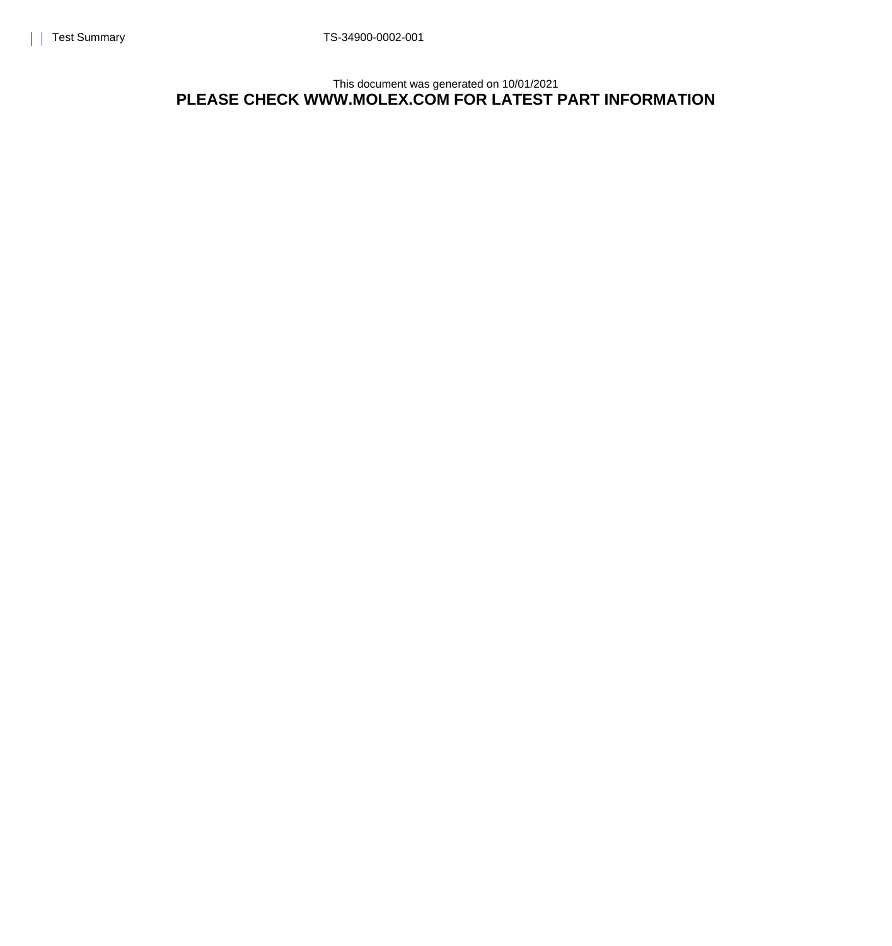This document was generated on 10/01/2021 **PLEASE CHECK WWW.MOLEX.COM FOR LATEST PART INFORMATION**